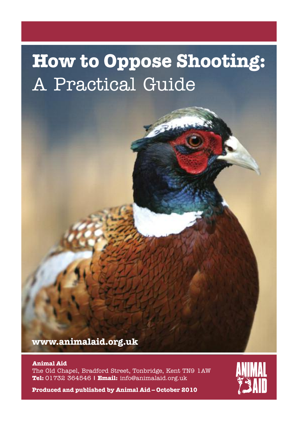# **How to Oppose Shooting:** A Practical Guide

**www.animalaid.org.uk**

#### **Animal Aid**

The Old Chapel, Bradford Street, Tonbridge, Kent TN9 1AW **Tel:** 01732 364546 **| Email:** info@animalaid.org.uk



**Produced and published by Animal Aid – October 2010**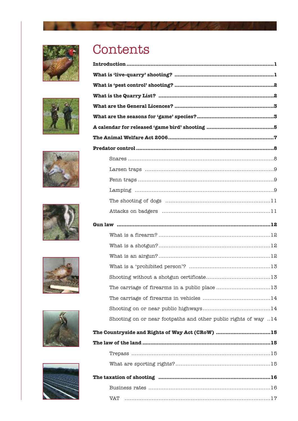













## Contents

| Shooting on or near footpaths and other public rights of way 14 |
|-----------------------------------------------------------------|
| The Countryside and Rights of Way Act (CRoW) 15                 |
|                                                                 |
|                                                                 |
|                                                                 |
|                                                                 |
|                                                                 |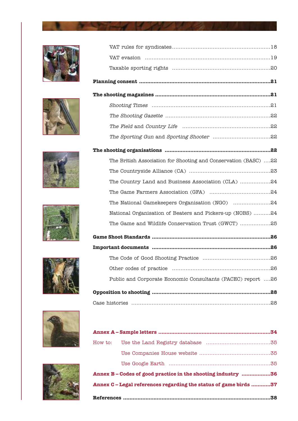













| The British Association for Shooting and Conservation (BASC) 22 |
|-----------------------------------------------------------------|
|                                                                 |
| The Country Land and Business Association (CLA) 24              |
|                                                                 |
| The National Gamekeepers Organisation (NGO) 24                  |
| National Organisation of Beaters and Pickers-up (NOBS) 24       |
| The Game and Wildlife Conservation Trust (GWCT) 25              |
|                                                                 |
|                                                                 |
|                                                                 |
|                                                                 |
| Public and Corporate Economic Consultants (PACEC) report 26     |
|                                                                 |
|                                                                 |

|                                                                  | Annex B-Codes of good practice in the shooting industry 36 |     |  |  |  |
|------------------------------------------------------------------|------------------------------------------------------------|-----|--|--|--|
| Annex C - Legal references regarding the status of game birds 37 |                                                            |     |  |  |  |
|                                                                  |                                                            | .38 |  |  |  |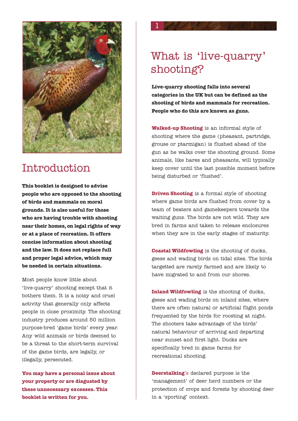

## Introduction

**This booklet is designed to advise people who are opposed to the shooting of birds and mammals on moral grounds. It is also useful for those who are having trouble with shooting near their homes, on legal rights of way or at a place of recreation. It offers concise information about shooting and the law. It does not replace full and proper legal advice, which may be needed in certain situations.**

Most people know little about 'live-quarry' shooting except that it bothers them. It is a noisy and cruel activity that generally only affects people in close proximity. The shooting industry produces around 50 million purpose-bred 'game birds' every year. Any wild animals or birds deemed to be a threat to the short-term survival of the game birds, are legally, or illegally, persecuted.

**You may have a personal issue about your property or are disgusted by these unnecessary excesses. This booklet is written for you.**

## What is 'live-quarry' shooting?

1

**Live-quarry shooting falls into several categories in the UK but can be defined as the shooting of birds and mammals for recreation. People who do this are known as guns.**

**Walked-up Shooting** is an informal style of shooting where the game (pheasant, partridge, grouse or ptarmigan) is flushed ahead of the gun as he walks over the shooting ground. Some animals, like hares and pheasants, will typically keep cover until the last possible moment before being disturbed or 'flushed'.

**Driven Shooting** is a formal style of shooting where game birds are flushed from cover by a team of beaters and gamekeepers towards the waiting guns. The birds are not wild. They are bred in farms and taken to release enclosures when they are in the early stages of maturity.

**Coastal Wildfowling** is the shooting of ducks, geese and wading birds on tidal sites. The birds targetted are rarely farmed and are likely to have migrated to and from our shores.

**Inland Wildfowling** is the shooting of ducks, geese and wading birds on inland sites, where there are often natural or artificial flight ponds frequented by the birds for roosting at night. The shooters take advantage of the birds' natural behaviour of arriving and departing near sunset and first light. Ducks are specifically bred in game farms for recreational shooting.

**Deerstalking**'s declared purpose is the 'management' of deer herd numbers or the protection of crops and forests by shooting deer in a 'sporting' context.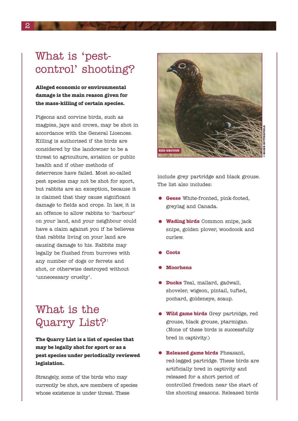## What is 'pestcontrol' shooting?

**Alleged economic or environmental damage is the main reason given for the mass-killing of certain species.**

Pigeons and corvine birds, such as magpies, jays and crows, may be shot in accordance with the General Licences. Killing is authorised if the birds are considered by the landowner to be a threat to agriculture, aviation or public health and if other methods of deterrence have failed. Most so-called pest species may not be shot for sport, but rabbits are an exception, because it is claimed that they cause significant damage to fields and crops. In law, it is an offence to allow rabbits to 'harbour' on your land, and your neighbour could have a claim against you if he believes that rabbits living on your land are causing damage to his. Rabbits may legally be flushed from burrows with any number of dogs or ferrets and shot, or otherwise destroyed without 'unnecessary cruelty'.

## What is the Quarry List?<sup>1</sup>

**The Quarry List is a list of species that may be legally shot for sport or as a pest species under periodically reviewed legislation.**

Strangely, some of the birds who may currently be shot, are members of species whose existence is under threat. These



include grey partridge and black grouse. The list also includes:

- **Geese** White-fronted, pink-footed, greylag and Canada.
- **Wading birds** Common snipe, jack snipe, golden plover, woodcock and curlew.
- **Coots**
- **Moorhens**
- **Ducks** Teal, mallard, gadwall, shoveler, wigeon, pintail, tufted, pochard, goldeneye, scaup.
- **Wild game birds** Grey partridge, red grouse, black grouse, ptarmigan. (None of these birds is successfully bred in captivity.)
- **Released game birds** Pheasant, red-legged partridge. These birds are artificially bred in captivity and released for a short period of controlled freedom near the start of the shooting seasons. Released birds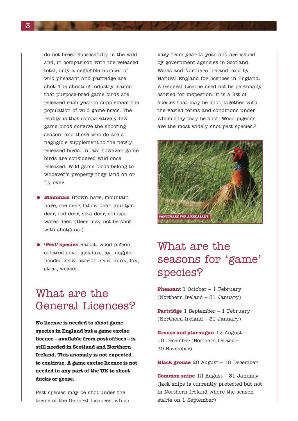do not breed successfully in the wild and, in comparison with the released total, only a negligible number of wild pheasant and partridge are shot. The shooting industry claims that purpose-bred game birds are released each year to supplement the population of wild game birds. The reality is that comparatively few game birds survive the shooting season, and those who do are a negligible supplement to the newly released birds. In law, however, game birds are considered wild once released. Wild game birds belong to whoever's property they land on or fly over.

- **Mammals** Brown hare, mountain hare, roe deer, fallow deer, muntjac deer, red deer, sika deer, chinese water deer. (Deer may not be shot with shotguns.)
- **'Pest' species** Rabbit, wood pigeon, collared dove, jackdaw, jay, magpie, hooded crow, carrion crow, mink, fox, stoat, weasel.

## What are the General Licences?

**No licence is needed to shoot game species in England but a game excise licence – available from post offices – is still needed in Scotland and Northern Ireland. This anomaly is not expected to continue. A game excise licence is not needed in any part of the UK to shoot ducks or geese.**

Pest species may be shot under the terms of the General Licences, which vary from year to year and are issued by government agencies in Scotland, Wales and Northern Ireland; and by Natural England for licences in England. A General Licence need not be personally carried for inspection. It is a list of species that may be shot, together with the varied terms and conditions under which they may be shot. Wood pigeons are the most widely shot pest species.2



## What are the seasons for 'game' species?

**Pheasant** 1 October – 1 February (Northern Ireland – 31 January)

**Partridge** 1 September – 1 February (Northern Ireland – 31 January)

**Grouse and ptarmigan** 12 August – 10 December (Northern Ireland – 30 November)

**Black grouse** 20 August – 10 December

**Common snipe** 12 August – 31 January (jack snipe is currently protected but not in Northern Ireland where the season starts on 1 September)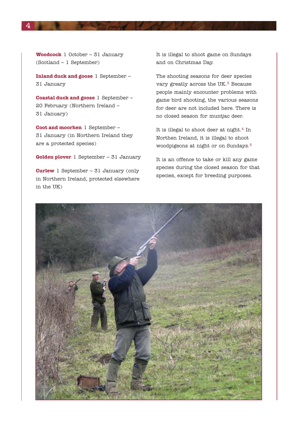**Woodcock** 1 October – 31 January (Scotland – 1 September)

**Inland duck and goose** 1 September – 31 January

**Coastal duck and goose** 1 September – 20 February (Northern Ireland – 31 January)

**Coot and moorhen** 1 September – 31 January (in Northern Ireland they are a protected species)

**Golden plover** 1 September – 31 January

**Curlew** 1 September – 31 January (only in Northern Ireland, protected elsewhere in the UK)

It is illegal to shoot game on Sundays and on Christmas Day.

The shooting seasons for deer species vary greatly across the UK.<sup>3</sup> Because people mainly encounter problems with game bird shooting, the various seasons for deer are not included here. There is no closed season for muntjac deer.

It is illegal to shoot deer at night.<sup>4</sup> In Northen Ireland, it is illegal to shoot woodpigeons at night or on Sundays.5

It is an offence to take or kill any game species during the closed season for that species, except for breeding purposes.

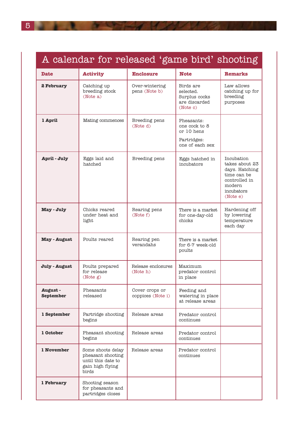| A calendar for released 'game bird' shooting |                                                                                           |                                     |                                                                             |                                                                                                                    |  |  |
|----------------------------------------------|-------------------------------------------------------------------------------------------|-------------------------------------|-----------------------------------------------------------------------------|--------------------------------------------------------------------------------------------------------------------|--|--|
| <b>Date</b>                                  | <b>Activity</b>                                                                           | <b>Enclosure</b>                    | <b>Note</b>                                                                 | <b>Remarks</b>                                                                                                     |  |  |
| 2 February                                   | Catching up<br>breeding stock<br>(Note a)                                                 | Over-wintering<br>pens (Note b)     | Birds are<br>selected.<br>Surplus cocks<br>are discarded<br>(Note c)        | Law allows<br>catching up for<br>breeding<br>purposes                                                              |  |  |
| 1 April                                      | Mating commences                                                                          | Breeding pens<br>(Note d)           | Pheasants:<br>one cock to 8<br>or 10 hens<br>Partridges:<br>one of each sex |                                                                                                                    |  |  |
| April - July                                 | Eggs laid and<br>hatched                                                                  | Breeding pens                       | Eggs hatched in<br>incubators                                               | Incubation<br>takes about 23<br>days. Hatching<br>time can be<br>controlled in<br>modern<br>incubators<br>(Note e) |  |  |
| May - July                                   | Chicks reared<br>under heat and<br>light                                                  | Rearing pens<br>(Note f)            | There is a market<br>for one-day-old<br>chicks                              | Hardening off<br>by lowering<br>temperature<br>each day                                                            |  |  |
| <b>May - August</b>                          | Poults reared                                                                             | Rearing pen<br>verandahs            | There is a market<br>for 6-7 week-old<br>poults                             |                                                                                                                    |  |  |
| July - August                                | Poults prepared<br>for release<br>(Note g)                                                | Release enclosures<br>(Note h)      | Maximum<br>predator control<br>in place                                     |                                                                                                                    |  |  |
| August-<br>September                         | Pheasants<br>released                                                                     | Cover crops or<br>coppices (Note i) | Feeding and<br>watering in place<br>at release areas                        |                                                                                                                    |  |  |
| 1 September                                  | Partridge shooting<br>begins                                                              | Release areas                       | Predator control<br>continues                                               |                                                                                                                    |  |  |
| 1 October                                    | Pheasant shooting<br>begins                                                               | Release areas                       | Predator control<br>continues                                               |                                                                                                                    |  |  |
| 1 November                                   | Some shoots delay<br>pheasant shooting<br>until this date to<br>gain high flying<br>birds | Release areas                       | Predator control<br>continues                                               |                                                                                                                    |  |  |
| 1 February                                   | Shooting season<br>for pheasants and<br>partridges closes                                 |                                     |                                                                             |                                                                                                                    |  |  |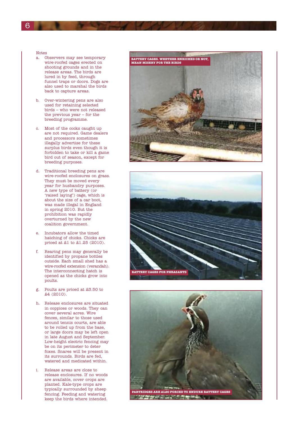#### Notes

- a. Observers may see temporary wire-roofed cages erected on shooting grounds and in the release areas. The birds are lured in by feed, through funnel traps or doors. Dogs are also used to marshal the birds back to capture areas.
- b. Over-wintering pens are also used for retaining selected birds – who were not released the previous year – for the breeding programme.
- c. Most of the cocks caught up are not required. Game dealers and processors sometimes illegally advertise for these surplus birds even though it is forbidden to take or kill a game bird out of season, except for breeding purposes.
- d. Traditional breeding pens are wire-roofed enclosures on grass. They must be moved every year for husbandry purposes. A new type of battery (or 'raised laying') cage, which is about the size of a car boot, was made illegal in England in spring 2010. But the prohibition was rapidly overturned by the new coalition government.
- e. Incubators allow the timed hatching of chicks. Chicks are priced at £1 to £1.25 (2010).
- f. Rearing pens may generally be identified by propane bottles outside. Each small shed has a wire-roofed extension (verandah). The interconnecting hatch is opened as the chicks grow into poults.
- g. Poults are priced at £3.50 to £4 (2010).
- h. Release enclosures are situated in coppices or woods. They can cover several acres. Wire fences, similar to those used around tennis courts, are able to be rolled up from the base, or large doors may be left open in late August and September. Low-height electric fencing may be on its perimeter to deter foxes. Snares will be present in its surrounds. Birds are fed, watered and medicated within.
- i. Release areas are close to release enclosures. If no woods are available, cover crops are planted. Kale-type crops are typically surrounded by sheep fencing. Feeding and watering keep the birds where intended.





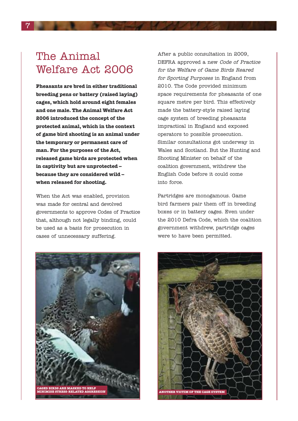## The Animal Welfare Act 2006

**Pheasants are bred in either traditional breeding pens or battery (raised laying) cages, which hold around eight females and one male. The Animal Welfare Act 2006 introduced the concept of the protected animal, which in the context of game bird shooting is an animal under the temporary or permanent care of man. For the purposes of the Act, released game birds are protected when in captivity but are unprotected – because they are considered wild – when released for shooting.**

When the Act was enabled, provision was made for central and devolved governments to approve Codes of Practice that, although not legally binding, could be used as a basis for prosecution in cases of unnecessary suffering.

After a public consultation in 2009, DEFRA approved a new Code of Practice for the Welfare of Game Birds Reared for Sporting Purposes in England from 2010. The Code provided minimum space requirements for pheasants of one square metre per bird. This effectively made the battery-style raised laying cage system of breeding pheasants impractical in England and exposed operators to possible prosecution. Similar consultations got underway in Wales and Scotland. But the Hunting and Shooting Minister on behalf of the coalition government, withdrew the English Code before it could come into force.

Partridges are monogamous. Game bird farmers pair them off in breeding boxes or in battery cages. Even under the 2010 Defra Code, which the coalition government withdrew, partridge cages were to have been permitted.



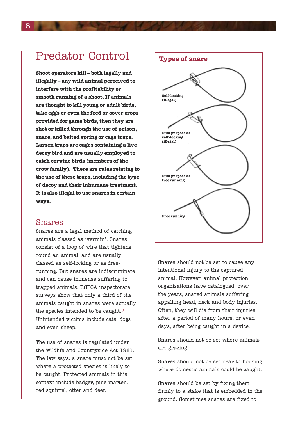## Predator Control

**Shoot operators kill – both legally and illegally – any wild animal perceived to interfere with the profitability or smooth running of a shoot. If animals are thought to kill young or adult birds, take eggs or even the feed or cover crops provided for game birds, then they are shot or killed through the use of poison, snare, and baited spring or cage traps. Larsen traps are cages containing a live decoy bird and are usually employed to catch corvine birds (members of the crow family). There are rules relating to the use of these traps, including the type of decoy and their inhumane treatment. It is also illegal to use snares in certain ways.**

#### Snares

Snares are a legal method of catching animals classed as 'vermin'. Snares consist of a loop of wire that tightens round an animal, and are usually classed as self-locking or as freerunning. But snares are indiscriminate and can cause immense suffering to trapped animals. RSPCA inspectorate surveys show that only a third of the animals caught in snares were actually the species intended to be caught.<sup>6</sup> Unintended victims include cats, dogs and even sheep.

The use of snares is regulated under the Wildlife and Countryside Act 1981. The law says: a snare must not be set where a protected species is likely to be caught. Protected animals in this context include badger, pine marten, red squirrel, otter and deer.



Snares should not be set to cause any intentional injury to the captured animal. However, animal protection organisations have catalogued, over the years, snared animals suffering appalling head, neck and body injuries. Often, they will die from their injuries, after a period of many hours, or even days, after being caught in a device.

Snares should not be set where animals are grazing.

Snares should not be set near to housing where domestic animals could be caught.

Snares should be set by fixing them firmly to a stake that is embedded in the ground. Sometimes snares are fixed to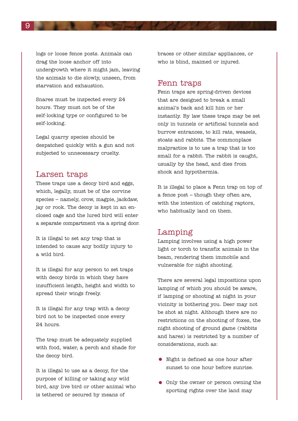logs or loose fence posts. Animals can drag the loose anchor off into undergrowth where it might jam, leaving the animals to die slowly, unseen, from starvation and exhaustion.

Snares must be inspected every 24 hours. They must not be of the self-locking type or configured to be self-locking.

Legal quarry species should be despatched quickly with a gun and not subjected to unnecessary cruelty.

#### Larsen traps

These traps use a decoy bird and eggs, which, legally, must be of the corvine species – namely, crow, magpie, jackdaw, jay or rook. The decoy is kept in an enclosed cage and the lured bird will enter a separate compartment via a spring door.

It is illegal to set any trap that is intended to cause any bodily injury to a wild bird.

It is illegal for any person to set traps with decoy birds in which they have insufficient length, height and width to spread their wings freely.

It is illegal for any trap with a decoy bird not to be inspected once every 24 hours.

The trap must be adequately supplied with food, water, a perch and shade for the decoy bird.

It is illegal to use as a decoy, for the purpose of killing or taking any wild bird, any live bird or other animal who is tethered or secured by means of

braces or other similar appliances, or who is blind, maimed or injured.

#### Fenn traps

Fenn traps are spring-driven devices that are designed to break a small animal's back and kill him or her instantly. By law these traps may be set only in tunnels or artificial tunnels and burrow entrances, to kill rats, weasels, stoats and rabbits. The commonplace malpractice is to use a trap that is too small for a rabbit. The rabbit is caught, usually by the head, and dies from shock and hypothermia.

It is illegal to place a Fenn trap on top of a fence post – though they often are, with the intention of catching raptors, who habitually land on them.

#### Lamping

Lamping involves using a high power light or torch to transfix animals in the beam, rendering them immobile and vulnerable for night shooting.

There are several legal impositions upon lamping of which you should be aware, if lamping or shooting at night in your vicinity is bothering you. Deer may not be shot at night. Although there are no restrictions on the shooting of foxes, the night shooting of ground game (rabbits and hares) is restricted by a number of considerations, such as:

- Night is defined as one hour after sunset to one hour before sunrise.
- Only the owner or person owning the sporting rights over the land may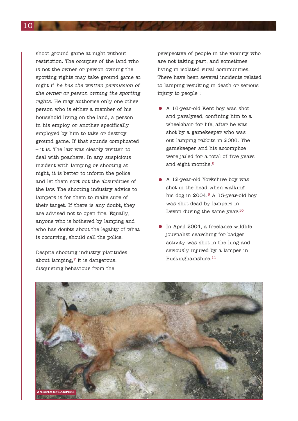shoot ground game at night without restriction. The occupier of the land who is not the owner or person owning the sporting rights may take ground game at night if he has the written permission of the owner or person owning the sporting rights. He may authorise only one other person who is either a member of his household living on the land, a person in his employ or another specifically employed by him to take or destroy ground game. If that sounds complicated – it is. The law was clearly written to deal with poachers. In any suspicious incident with lamping or shooting at night, it is better to inform the police and let them sort out the absurdities of the law. The shooting industry advice to lampers is for them to make sure of their target. If there is any doubt, they are advised not to open fire. Equally, anyone who is bothered by lamping and who has doubts about the legality of what is occurring, should call the police.

Despite shooting industry platitudes about lamping, $\frac{7}{7}$  it is dangerous. disquieting behaviour from the

perspective of people in the vicinity who are not taking part, and sometimes living in isolated rural communities. There have been several incidents related to lamping resulting in death or serious injury to people :

- <sup>A</sup> 16-year-old Kent boy was shot and paralysed, confining him to a wheelchair for life, after he was shot by a gamekeeper who was out lamping rabbits in 2006. The gamekeeper and his accomplice were jailed for a total of five years and eight months.<sup>8</sup>
- A 12-year-old Yorkshire boy was shot in the head when walking his dog in 2004.9 A 13-year-old boy was shot dead by lampers in Devon during the same year. $10$
- In April 2004, <sup>a</sup> freelance wildlife journalist searching for badger activity was shot in the lung and seriously injured by a lamper in Buckinghamshire.11

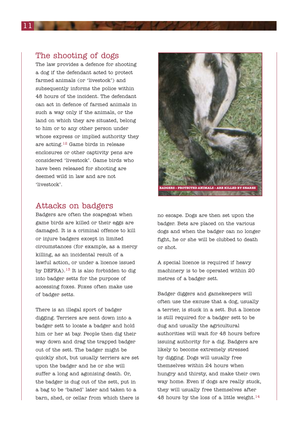#### The shooting of dogs

The law provides a defence for shooting a dog if the defendant acted to protect farmed animals (or 'livestock') and subsequently informs the police within 48 hours of the incident. The defendant can act in defence of farmed animals in such a way only if the animals, or the land on which they are situated, belong to him or to any other person under whose express or implied authority they are acting.12 Game birds in release enclosures or other captivity pens are considered 'livestock'. Game birds who have been released for shooting are deemed wild in law and are not 'livestock'.

### Attacks on badgers

Badgers are often the scapegoat when game birds are killed or their eggs are damaged. It is a criminal offence to kill or injure badgers except in limited circumstances (for example, as a mercy killing, as an incidental result of a lawful action, or under a licence issued by DEFRA).<sup>13</sup> It is also forbidden to dig into badger setts for the purpose of accessing foxes. Foxes often make use of badger setts.

There is an illegal sport of badger digging. Terriers are sent down into a badger sett to locate a badger and hold him or her at bay. People then dig their way down and drag the trapped badger out of the sett. The badger might be quickly shot, but usually terriers are set upon the badger and he or she will suffer a long and agonising death. Or, the badger is dug out of the sett, put in a bag to be 'baited' later and taken to a barn, shed, or cellar from which there is



no escape. Dogs are then set upon the badger. Bets are placed on the various dogs and when the badger can no longer fight, he or she will be clubbed to death or shot.

A special licence is required if heavy machinery is to be operated within 20 metres of a badger sett.

Badger diggers and gamekeepers will often use the excuse that a dog, usually a terrier, is stuck in a sett. But a licence is still required for a badger sett to be dug and usually the agricultural authorities will wait for 48 hours before issuing authority for a dig. Badgers are likely to become extremely stressed by digging. Dogs will usually free themselves within 24 hours when hungry and thirsty, and make their own way home. Even if dogs are really stuck, they will usually free themselves after 48 hours by the loss of a little weight.<sup>14</sup>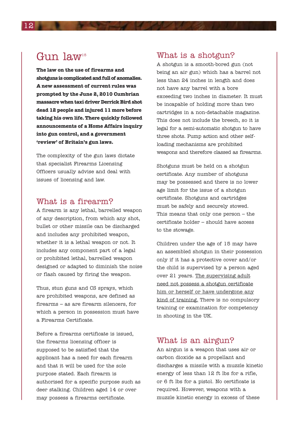## Gun law<sup>15</sup>

**The law on the use of firearms and shotgunsiscomplicatedandfullofanomalies. A new assessment of current rules was prompted by the June 2, 2010 Cumbrian massacre** when taxi driver **Derrick** Bird shot **dead 12 people and injured 11 more before taking his own life. There quickly followed announcements of a Home Affairs inquiry into gun control, and a government 'review' of Britain's gun laws.**

The complexity of the gun laws dictate that specialist Firearms Licensing Officers usually advise and deal with issues of licensing and law.

### What is a firearm?

A firearm is any lethal, barrelled weapon of any description, from which any shot, bullet or other missile can be discharged and includes any prohibited weapon, whether it is a lethal weapon or not. It includes any component part of a legal or prohibited lethal, barrelled weapon designed or adapted to diminish the noise or flash caused by firing the weapon.

Thus, stun guns and CS sprays, which are prohibited weapons, are defined as firearms – as are firearm silencers, for which a person in possession must have a Firearms Certificate.

Before a firearms certificate is issued, the firearms licensing officer is supposed to be satisfied that the applicant has a need for each firearm and that it will be used for the sole purpose stated. Each firearm is authorised for a specific purpose such as deer stalking. Children aged 14 or over may possess a firearms certificate.

### What is a shotgun?

A shotgun is a smooth-bored gun (not being an air gun) which has a barrel not less than 24 inches in length and does not have any barrel with a bore exceeding two inches in diameter. It must be incapable of holding more than two cartridges in a non-detachable magazine. This does not include the breech, so it is legal for a semi-automatic shotgun to have three shots. Pump action and other selfloading mechanisms are prohibited weapons and therefore classed as firearms.

Shotguns must be held on a shotgun certificate. Any number of shotguns may be possessed and there is no lower age limit for the issue of a shotgun certificate. Shotguns and cartridges must be safely and securely stowed. This means that only one person – the certificate holder – should have access to the stowage.

Children under the age of 15 may have an assembled shotgun in their possession only if it has a protective cover and/or the child is supervised by a person aged over 21 years. The supervising adult need not possess a shotgun certificate him or herself or have undergone any kind of training. There is no compulsory training or examination for competency in shooting in the UK.

#### What is an airgun?

An airgun is a weapon that uses air or carbon dioxide as a propellant and discharges a missile with a muzzle kinetic energy of less than 12 ft lbs for a rifle, or 6 ft lbs for a pistol. No certificate is required. However, weapons with a muzzle kinetic energy in excess of these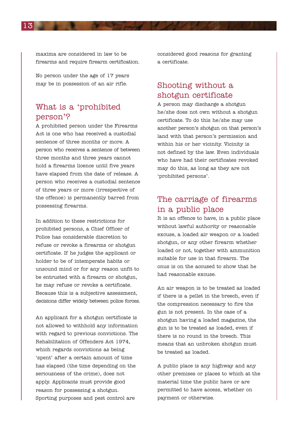maxima are considered in law to be firearms and require firearm certification.

No person under the age of 17 years may be in possession of an air rifle.

### What is a 'prohibited person'?

A prohibited person under the Firearms Act is one who has received a custodial sentence of three months or more. A person who receives a sentence of between three months and three years cannot hold a firearms licence until five years have elapsed from the date of release. A person who receives a custodial sentence of three years or more (irrespective of the offence) is permanently barred from possessing firearms.

In addition to these restrictions for prohibited persons, a Chief Officer of Police has considerable discretion to refuse or revoke a firearms or shotgun certificate. If he judges the applicant or holder to be of intemperate habits or unsound mind or for any reason unfit to be entrusted with a firearm or shotgun, he may refuse or revoke a certificate. Because this is a subjective assessment, decisions differ widely between police forces.

An applicant for a shotgun certificate is not allowed to withhold any information with regard to previous convictions. The Rehabilitation of Offenders Act 1974, which regards convictions as being 'spent' after a certain amount of time has elapsed (the time depending on the seriousness of the crime), does not apply. Applicants must provide good reason for possessing a shotgun. Sporting purposes and pest control are

considered good reasons for granting a certificate.

## Shooting without a shotgun certificate

A person may discharge a shotgun he/she does not own without a shotgun certificate. To do this he/she may use another person's shotgun on that person's land with that person's permission and within his or her vicinity. Vicinity is not defined by the law. Even individuals who have had their certificates revoked may do this, as long as they are not 'prohibited persons'.

### The carriage of firearms in a public place

It is an offence to have, in a public place without lawful authority or reasonable excuse, a loaded air weapon or a loaded shotgun, or any other firearm whether loaded or not, together with ammunition suitable for use in that firearm. The onus is on the accused to show that he had reasonable excuse.

An air weapon is to be treated as loaded if there is a pellet in the breech, even if the compression necessary to fire the gun is not present. In the case of a shotgun having a loaded magazine, the gun is to be treated as loaded, even if there is no round in the breech. This means that an unbroken shotgun must be treated as loaded.

A public place is any highway and any other premises or places to which at the material time the public have or are permitted to have access, whether on payment or otherwise.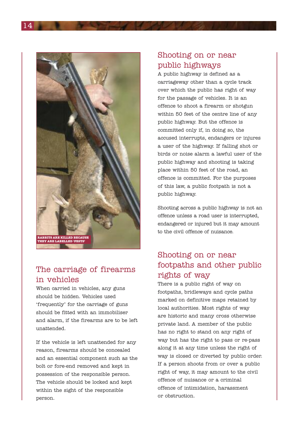

## The carriage of firearms in vehicles

When carried in vehicles, any guns should be hidden. Vehicles used 'frequently' for the carriage of guns should be fitted with an immobiliser and alarm, if the firearms are to be left unattended.

If the vehicle is left unattended for any reason, firearms should be concealed and an essential component such as the bolt or fore-end removed and kept in possession of the responsible person. The vehicle should be locked and kept within the sight of the responsible person.

### Shooting on or near public highways

A public highway is defined as a carriageway other than a cycle track over which the public has right of way for the passage of vehicles. It is an offence to shoot a firearm or shotgun within 50 feet of the centre line of any public highway. But the offence is committed only if, in doing so, the accused interrupts, endangers or injures a user of the highway. If falling shot or birds or noise alarm a lawful user of the public highway and shooting is taking place within 50 feet of the road, an offence is committed. For the purposes of this law, a public footpath is not a public highway.

Shooting across a public highway is not an offence unless a road user is interrupted, endangered or injured but it may amount to the civil offence of nuisance.

## Shooting on or near footpaths and other public rights of way

There is a public right of way on footpaths, bridleways and cycle paths marked on definitive maps retained by local authorities. Most rights of way are historic and many cross otherwise private land. A member of the public has no right to stand on any right of way but has the right to pass or re-pass along it at any time unless the right of way is closed or diverted by public order. If a person shoots from or over a public right of way, it may amount to the civil offence of nuisance or a criminal offence of intimidation, harassment or obstruction.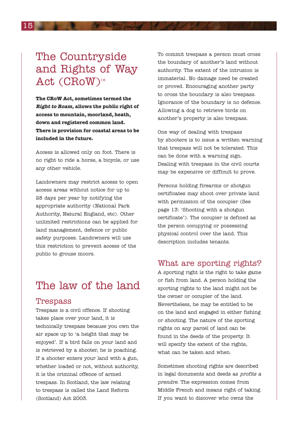## The Countryside and Rights of Way Act (CRoW)<sup>16</sup>

**The CRoW Act, sometimes termed the Right to Roam, allows the public right of access to mountain, moorland, heath, down and registered common land. There is provision for coastal areas to be included in the future.**

Access is allowed only on foot. There is no right to ride a horse, a bicycle, or use any other vehicle.

Landowners may restrict access to open access areas without notice for up to 28 days per year by notifying the appropriate authority (National Park Authority, Natural England, etc). Other unlimited restrictions can be applied for land management, defence or public safety purposes. Landowners will use this restriction to prevent access of the public to grouse moors.

## The law of the land

#### Trespass

Trespass is a civil offence. If shooting takes place over your land, it is technically trespass because you own the air space up to 'a height that may be enjoyed'. If a bird falls on your land and is retrieved by a shooter, he is poaching. If a shooter enters your land with a gun, whether loaded or not, without authority, it is the criminal offence of armed trespass. In Scotland, the law relating to trespass is called the Land Reform (Scotland) Act 2003.

To commit trespass a person must cross the boundary of another's land without authority. The extent of the intrusion is immaterial. No damage need be created or proved. Encouraging another party to cross the boundary is also trespass. Ignorance of the boundary is no defence. Allowing a dog to retrieve birds on another's property is also trespass.

One way of dealing with trespass by shooters is to issue a written warning that trespass will not be tolerated. This can be done with a warning sign. Dealing with trespass in the civil courts may be expensive or difficult to prove.

Persons holding firearms or shotgun certificates may shoot over private land with permission of the occupier (See page 13: 'Shooting with a shotgun certificate'). The occupier is defined as the person occupying or possessing physical control over the land. This description includes tenants.

### What are sporting rights?

A sporting right is the right to take game or fish from land. A person holding the sporting rights to the land might not be the owner or occupier of the land. Nevertheless, he may be entitled to be on the land and engaged in either fishing or shooting. The nature of the sporting rights on any parcel of land can be found in the deeds of the property. It will specify the extent of the rights, what can be taken and when.

Sometimes shooting rights are described in legal documents and deeds as profits <sup>a</sup> prendre. The expression comes from Middle French and means right of taking. If you want to discover who owns the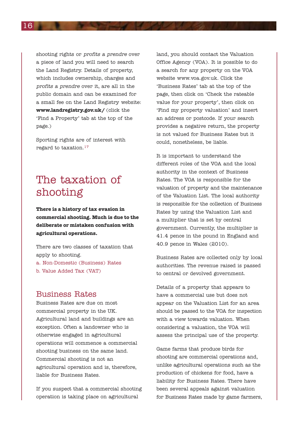shooting rights or profits <sup>a</sup> prendre over a piece of land you will need to search the Land Registry. Details of property, which includes ownership, charges and profits <sup>a</sup> prendre over it, are all in the public domain and can be examined for a small fee on the Land Registry website: **www.landregistry.gov.uk/** (click the 'Find a Property' tab at the top of the page.)

Sporting rights are of interest with regard to taxation.17

## The taxation of shooting

**There is a history of tax evasion in commercial shooting. Much is due to the deliberate or mistaken confusion with agricultural operations.**

There are two classes of taxation that apply to shooting. a. Non-Domestic (Business) Rates b. Value Added Tax (VAT)

### Business Rates

Business Rates are due on most commercial property in the UK. Agricultural land and buildings are an exception. Often a landowner who is otherwise engaged in agricultural operations will commence a commercial shooting business on the same land. Commercial shooting is not an agricultural operation and is, therefore, liable for Business Rates.

If you suspect that a commercial shooting operation is taking place on agricultural

land, you should contact the Valuation Office Agency (VOA). It is possible to do a search for any property on the VOA website www.voa.gov.uk. Click the 'Business Rates' tab at the top of the page, then click on 'Check the rateable value for your property', then click on 'Find my property valuation' and insert an address or postcode. If your search provides a negative return, the property is not valued for Business Rates but it could, nonetheless, be liable.

It is important to understand the different roles of the VOA and the local authority in the context of Business Rates. The VOA is responsible for the valuation of property and the maintenance of the Valuation List. The local authority is responsible for the collection of Business Rates by using the Valuation List and a multiplier that is set by central government. Currently, the multiplier is 41.4 pence in the pound in England and 40.9 pence in Wales (2010).

Business Rates are collected only by local authorities. The revenue raised is passed to central or devolved government.

Details of a property that appears to have a commercial use but does not appear on the Valuation List for an area should be passed to the VOA for inspection with a view towards valuation. When considering a valuation, the VOA will assess the principal use of the property.

Game farms that produce birds for shooting are commercial operations and, unlike agricultural operations such as the production of chickens for food, have a liability for Business Rates. There have been several appeals against valuation for Business Rates made by game farmers,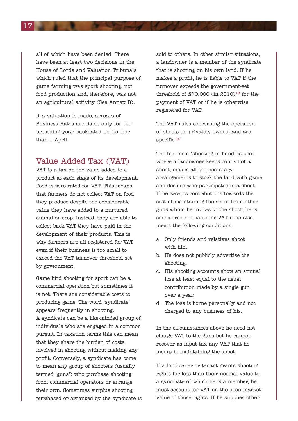all of which have been denied. There have been at least two decisions in the House of Lords and Valuation Tribunals which ruled that the principal purpose of game farming was sport shooting, not food production and, therefore, was not an agricultural activity (See Annex B).

If a valuation is made, arrears of Business Rates are liable only for the preceding year, backdated no further than 1 April.

### Value Added Tax (VAT)

VAT is a tax on the value added to a product at each stage of its development. Food is zero-rated for VAT. This means that farmers do not collect VAT on food they produce despite the considerable value they have added to a nurtured animal or crop. Instead, they are able to collect back VAT they have paid in the development of their products. This is why farmers are all registered for VAT even if their business is too small to exceed the VAT turnover threshold set by government.

Game bird shooting for sport can be a commercial operation but sometimes it is not. There are considerable costs to producing game. The word 'syndicate' appears frequently in shooting. A syndicate can be a like-minded group of individuals who are engaged in a common pursuit. In taxation terms this can mean that they share the burden of costs involved in shooting without making any profit. Conversely, a syndicate has come to mean any group of shooters (usually termed 'guns') who purchase shooting from commercial operators or arrange their own. Sometimes surplus shooting purchased or arranged by the syndicate is sold to others. In other similar situations, a landowner is a member of the syndicate that is shooting on his own land. If he makes a profit, he is liable to VAT if the turnover exceeds the government-set threshold of  $$70,000$  (in 2010)<sup>18</sup> for the payment of VAT or if he is otherwise registered for VAT.

The VAT rules concerning the operation of shoots on privately owned land are specific.<sup>19</sup>

The tax term 'shooting in hand' is used where a landowner keeps control of a shoot, makes all the necessary arrangements to stock the land with game and decides who participates in a shoot. If he accepts contributions towards the cost of maintaining the shoot from other guns whom he invites to the shoot, he is considered not liable for VAT if he also meets the following conditions:

- a. Only friends and relatives shoot with him.
- b. He does not publicly advertise the shooting.
- c. His shooting accounts show an annual loss at least equal to the usual contribution made by a single gun over a year.
- d. The loss is borne personally and not charged to any business of his.

In the circumstances above he need not charge VAT to the guns but he cannot recover as input tax any VAT that he incurs in maintaining the shoot.

If a landowner or tenant grants shooting rights for less than their normal value to a syndicate of which he is a member, he must account for VAT on the open market value of those rights. If he supplies other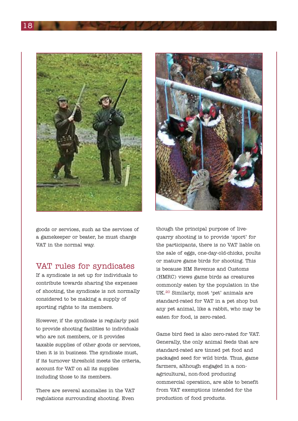



goods or services, such as the services of a gamekeeper or beater, he must charge VAT in the normal way.

### VAT rules for syndicates

If a syndicate is set up for individuals to contribute towards sharing the expenses of shooting, the syndicate is not normally considered to be making a supply of sporting rights to its members.

However, if the syndicate is regularly paid to provide shooting facilities to individuals who are not members, or it provides taxable supplies of other goods or services, then it is in business. The syndicate must, if its turnover threshold meets the criteria, account for VAT on all its supplies including those to its members.

There are several anomalies in the VAT regulations surrounding shooting. Even

though the principal purpose of livequarry shooting is to provide 'sport' for the participants, there is no VAT liable on the sale of eggs, one-day-old-chicks, poults or mature game birds for shooting. This is because HM Revenue and Customs (HMRC) views game birds as creatures commonly eaten by the population in the UK.20 Similarly, most 'pet' animals are standard-rated for VAT in a pet shop but any pet animal, like a rabbit, who may be eaten for food, is zero-rated.

Game bird feed is also zero-rated for VAT. Generally, the only animal feeds that are standard-rated are tinned pet food and packaged seed for wild birds. Thus, game farmers, although engaged in a nonagricultural, non-food producing commercial operation, are able to benefit from VAT exemptions intended for the production of food products.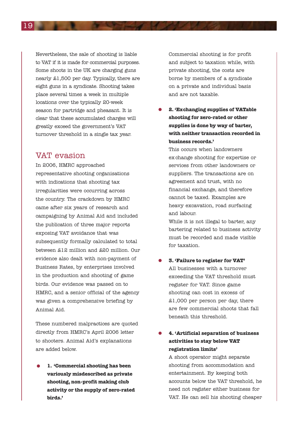Nevertheless, the sale of shooting is liable to VAT if it is made for commercial purposes. Some shoots in the UK are charging guns nearly £1,500 per day. Typically, there are eight guns in a syndicate. Shooting takes place several times a week in multiple locations over the typically 20-week season for partridge and pheasant. It is clear that these accumulated charges will greatly exceed the government's VAT turnover threshold in a single tax year.

### VAT evasion

In 2006, HMRC approached representative shooting organisations with indications that shooting tax irregularities were occurring across the country. The crackdown by HMRC came after six years of research and campaigning by Animal Aid and included the publication of three major reports exposing VAT avoidance that was subsequently formally calculated to total between £12 million and £20 million. Our evidence also dealt with non-payment of Business Rates, by enterprises involved in the production and shooting of game birds. Our evidence was passed on to HMRC, and a senior official of the agency was given a comprehensive briefing by Animal Aid.

These numbered malpractices are quoted directly from HMRC's April 2006 letter to shooters. Animal Aid's explanations are added below.

• **1. 'Commercial shooting has been variously misdescribed as private shooting, non-profit making club activity or the supply of zero-rated birds.'**

Commercial shooting is for profit and subject to taxation while, with private shooting, the costs are borne by members of a syndicate on a private and individual basis and are not taxable.

• **2. 'Exchanging supplies of VATable shooting for zero-rated or other supplies is done by way of barter, with neither transaction recorded in business records.'**

This occurs when landowners exchange shooting for expertise or services from other landowners or suppliers. The transactions are on agreement and trust, with no financial exchange, and therefore cannot be taxed. Examples are heavy excavation, road surfacing and labour.

While it is not illegal to barter, any bartering related to business activity must be recorded and made visible for taxation.

• **3. 'Failure to register for VAT'** All businesses with a turnover exceeding the VAT threshold must register for VAT. Since game shooting can cost in excess of £1,000 per person per day, there are few commercial shoots that fall beneath this threshold.

#### • **4. 'Artificial separation of business activities to stay below VAT registration limits'**

A shoot operator might separate shooting from accommodation and entertainment. By keeping both accounts below the VAT threshold, he need not register either business for VAT. He can sell his shooting cheaper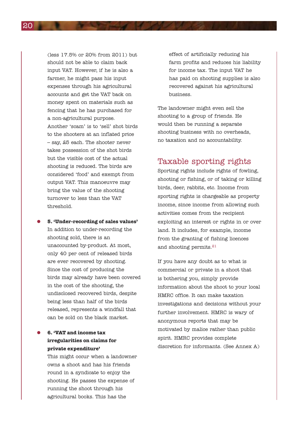(less 17.5% or 20% from 2011) but should not be able to claim back input VAT. However, if he is also a farmer, he might pass his input expenses through his agricultural accounts and get the VAT back on money spent on materials such as fencing that he has purchased for a non-agricultural purpose. Another 'scam' is to 'sell' shot birds to the shooters at an inflated price – say, £5 each. The shooter never takes possession of the shot birds but the visible cost of the actual shooting is reduced. The birds are considered 'food' and exempt from output VAT. This manoeuvre may bring the value of the shooting turnover to less than the VAT threshold.

• **5. 'Under-recording of sales values'** In addition to under-recording the shooting sold, there is an unaccounted by-product. At most, only 40 per cent of released birds are ever recovered by shooting. Since the cost of producing the birds may already have been covered in the cost of the shooting, the undisclosed recovered birds, despite being less than half of the birds released, represents a windfall that can be sold on the black market.

#### • **6. 'VAT and income tax irregularities on claims for private expenditure'**

This might occur when a landowner owns a shoot and has his friends round in a syndicate to enjoy the shooting. He passes the expense of running the shoot through his agricultural books. This has the

effect of artificially reducing his farm profits and reduces his liability for income tax. The input VAT he has paid on shooting supplies is also recovered against his agricultural business.

The landowner might even sell the shooting to a group of friends. He would then be running a separate shooting business with no overheads, no taxation and no accountability.

### Taxable sporting rights

Sporting rights include rights of fowling, shooting or fishing, or of taking or killing birds, deer, rabbits, etc. Income from sporting rights is chargeable as property income, since income from allowing such activities comes from the recipient exploiting an interest or rights in or over land. It includes, for example, income from the granting of fishing licences and shooting permits.<sup>21</sup>

If you have any doubt as to what is commercial or private in a shoot that is bothering you, simply provide information about the shoot to your local HMRC office. It can make taxation investigations and decisions without your further involvement. HMRC is wary of anonymous reports that may be motivated by malice rather than public spirit. HMRC provides complete discretion for informants. (See Annex A)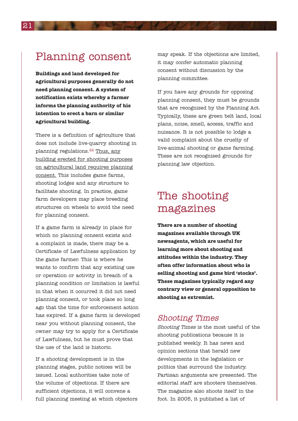## Planning consent

**Buildings and land developed for agricultural purposes generally do not need planning consent. A system of notification exists whereby a farmer informs the planning authority of his intention to erect a barn or similar agricultural building.**

There is a definition of agriculture that does not include live-quarry shooting in planning regulations.22 Thus, any building erected for shooting purposes on agricultural land requires planning consent. This includes game farms, shooting lodges and any structure to facilitate shooting. In practice, game farm developers may place breeding structures on wheels to avoid the need for planning consent.

If a game farm is already in place for which no planning consent exists and a complaint is made, there may be a Certificate of Lawfulness application by the game farmer. This is where he wants to confirm that any existing use or operation or activity in breach of a planning condition or limitation is lawful in that when it occurred it did not need planning consent, or took place so long ago that the time for enforcement action has expired. If a game farm is developed near you without planning consent, the owner may try to apply for a Certificate of Lawfulness, but he must prove that the use of the land is historic.

If a shooting development is in the planning stages, public notices will be issued. Local authorities take note of the volume of objections. If there are sufficient objections, it will convene a full planning meeting at which objectors may speak. If the objections are limited, it may confer automatic planning consent without discussion by the planning committee.

If you have any grounds for opposing planning consent, they must be grounds that are recognised by the Planning Act. Typically, these are green belt land, local plans, noise, smell, access, traffic and nuisance. It is not possible to lodge a valid complaint about the cruelty of live-animal shooting or game farming. These are not recognised grounds for planning law objection.

## The shooting magazines

**There are a number of shooting magazines available through UK newsagents, which are useful for learning more about shooting and attitudes within the industry. They often offer information about who is selling shooting and game bird 'stocks'. These magazines typically regard any contrary view or general opposition to shooting as extremist.**

### Shooting Times

Shooting Times is the most useful of the shooting publications because it is published weekly. It has news and opinion sections that herald new developments in the legislation or politics that surround the industry. Partisan arguments are presented. The editorial staff are shooters themselves. The magazine also shoots itself in the foot. In 2005, it published a list of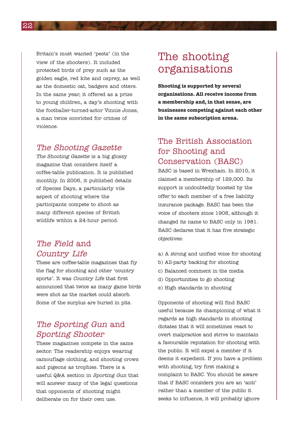Britain's most wanted 'pests' (in the view of the shooters). It included protected birds of prey such as the golden eagle, red kite and osprey, as well as the domestic cat, badgers and otters. In the same year, it offered as a prize to young children, a day's shooting with the footballer-turned-actor Vinnie Jones, a man twice convicted for crimes of violence.

### The Shooting Gazette

The Shooting Gazette is a big glossy magazine that considers itself a coffee-table publication. It is published monthly. In 2006, it published details of Species Days, a particularly vile aspect of shooting where the participants compete to shoot as many different species of British wildlife within a 24-hour period.

## The Field and Country Life

These are coffee-table magazines that fly the flag for shooting and other 'country sports'. It was Country Life that first announced that twice as many game birds were shot as the market could absorb. Some of the surplus are buried in pits.

### The Sporting Gun and Sporting Shooter

These magazines compete in the same sector. The readership enjoys wearing camouflage clothing, and shooting crows and pigeons as trophies. There is a useful Q&A section in Sporting Gun that will answer many of the legal questions that opponents of shooting might deliberate on for their own use.

## The shooting organisations

**Shooting is supported by several organisations. All receive income from a membership and, in that sense, are businesses competing against each other in the same subscription arena.**

## The British Association for Shooting and Conservation (BASC)

BASC is based in Wrexham. In 2010, it claimed a membership of 129,000. Its support is undoubtedly boosted by the offer to each member of a free liability insurance package. BASC has been the voice of shooters since 1908, although it changed its name to BASC only in 1981. BASC declares that it has five strategic objectives:

- a) A strong and unified voice for shooting
- b) All-party backing for shooting
- c) Balanced comment in the media
- d) Opportunities to go shooting
- e) High standards in shooting

Opponents of shooting will find BASC useful because its championing of what it regards as high standards in shooting dictates that it will sometimes react to overt malpractice and strive to maintain a favourable reputation for shooting with the public. It will expel a member if it deems it expedient. If you have a problem with shooting, try first making a complaint to BASC. You should be aware that if BASC considers you are an 'anti' rather than a member of the public it seeks to influence, it will probably ignore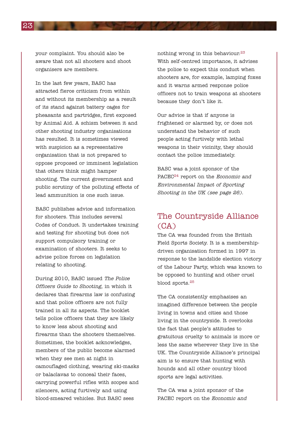your complaint. You should also be aware that not all shooters and shoot organisers are members.

In the last few years, BASC has attracted fierce criticism from within and without its membership as a result of its stand against battery cages for pheasants and partridges, first exposed by Animal Aid. A schism between it and other shooting industry organisations has resulted. It is sometimes viewed with suspicion as a representative organisation that is not prepared to oppose proposed or imminent legislation that others think might hamper shooting. The current government and public scrutiny of the polluting effects of lead ammunition is one such issue.

BASC publishes advice and information for shooters. This includes several Codes of Conduct. It undertakes training and testing for shooting but does not support compulsory training or examination of shooters. It seeks to advise police forces on legislation relating to shooting.

During 2010, BASC issued The Police Officers Guide to Shooting, in which it declares that firearms law is confusing and that police officers are not fully trained in all its aspects. The booklet tells police officers that they are likely to know less about shooting and firearms than the shooters themselves. Sometimes, the booklet acknowledges, members of the public become alarmed when they see men at night in camouflaged clothing, wearing ski-masks or balaclavas to conceal their faces, carrying powerful rifles with scopes and silencers, acting furtively and using blood-smeared vehicles. But BASC sees

nothing wrong in this behaviour.<sup>23</sup> With self-centred importance, it advises the police to expect this conduct when shooters are, for example, lamping foxes and it warns armed response police officers not to train weapons at shooters because they don't like it.

Our advice is that if anyone is frightened or alarmed by, or does not understand the behavior of such people acting furtively with lethal weapons in their vicinity, they should contact the police immediately.

BASC was a joint sponsor of the PACEC<sup>24</sup> report on the *Economic and* Environmental Impact of Sporting Shooting in the UK (see page 26).

### The Countryside Alliance (CA)

The CA was founded from the British Field Sports Society. It is a membershipdriven organisation formed in 1997 in response to the landslide election victory of the Labour Party, which was known to be opposed to hunting and other cruel blood sports.25

The CA consistently emphasises an imagined difference between the people living in towns and cities and those living in the countryside. It overlooks the fact that people's attitudes to gratuitous cruelty to animals is more or less the same wherever they live in the UK. The Countryside Alliance's principal aim is to ensure that hunting with hounds and all other country blood sports are legal activities.

The CA was a joint sponsor of the PACEC report on the Economic and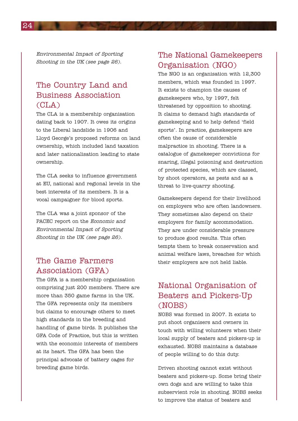Environmental Impact of Sporting Shooting in the UK (see page 26).

### The Country Land and Business Association (CLA)

The CLA is a membership organisation dating back to 1907. It owes its origins to the Liberal landslide in 1906 and Lloyd George's proposed reforms on land ownership, which included land taxation and later nationalisation leading to state ownership.

The CLA seeks to influence government at EU, national and regional levels in the best interests of its members. It is a vocal campaigner for blood sports.

The CLA was a joint sponsor of the PACEC report on the Economic and Environmental Impact of Sporting Shooting in the UK (see page 26).

### The Game Farmers Association (GFA)

The GFA is a membership organisation comprising just 200 members. There are more than 350 game farms in the UK. The GFA represents only its members but claims to encourage others to meet high standards in the breeding and handling of game birds. It publishes the GFA Code of Practice, but this is written with the economic interests of members at its heart. The GFA has been the principal advocate of battery cages for breeding game birds.

### The National Gamekeepers Organisation (NGO)

The NGO is an organisation with 12,300 members, which was founded in 1997. It exists to champion the causes of gamekeepers who, by 1997, felt threatened by opposition to shooting. It claims to demand high standards of gamekeeping and to help defend 'field sports'. In practice, gamekeepers are often the cause of considerable malpractice in shooting. There is a catalogue of gamekeeper convictions for snaring, illegal poisoning and destruction of protected species, which are classed, by shoot operators, as pests and as a threat to live-quarry shooting.

Gamekeepers depend for their livelihood on employers who are often landowners. They sometimes also depend on their employers for family accommodation. They are under considerable pressure to produce good results. This often tempts them to break conservation and animal welfare laws, breaches for which their employers are not held liable.

## National Organisation of Beaters and Pickers-Up (NOBS)

NOBS was formed in 2007. It exists to put shoot organisers and owners in touch with willing volunteers when their local supply of beaters and pickers-up is exhausted. NOBS maintains a database of people willing to do this duty.

Driven shooting cannot exist without beaters and pickers-up. Some bring their own dogs and are willing to take this subservient role in shooting. NOBS seeks to improve the status of beaters and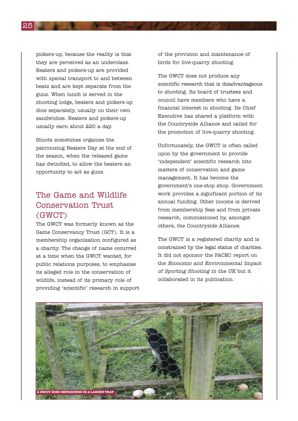pickers-up, because the reality is that they are perceived as an underclass. Beaters and pickers-up are provided with special transport to and between beats and are kept separate from the guns. When lunch is served in the shooting lodge, beaters and pickers-up dine separately, usually on their own sandwiches. Beaters and pickers-up usually earn about £20 a day.

Shoots sometimes organise the patronising Beaters Day at the end of the season, when the released game has dwindled, to allow the beaters an opportunity to act as guns.

## The Game and Wildlife Conservation Trust (GWCT)

The GWCT was formerly known as the Game Conservancy Trust (GCT). It is a membership organisation configured as a charity. The change of name occurred at a time when the GWCT wanted, for public relations purposes, to emphasise its alleged role in the conservation of wildlife, instead of its primary role of providing 'scientific' research in support

of the provision and maintenance of birds for live-quarry shooting.

The GWCT does not produce any scientific research that is disadvantageous to shooting. Its board of trustees and council have members who have a financial interest in shooting. Its Chief Executive has shared a platform with the Countryside Alliance and called for the promotion of live-quarry shooting.

Unfortunately, the GWCT is often called upon by the government to provide 'independent' scientific research into matters of conservation and game management. It has become the government's one-stop shop. Government work provides a significant portion of its annual funding. Other income is derived from membership fees and from private research, commissioned by, amongst others, the Countryside Alliance.

The GWCT is a registered charity and is constrained by the legal status of charities. It did not sponsor the PACEC report on the Economic and Environmental Impact of Sporting Shooting in the UK but it collaborated in its publication.

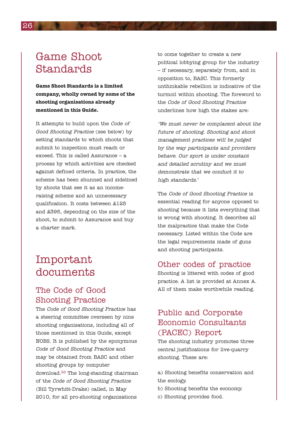## Game Shoot Standards

**Game Shoot Standards is a limited company, wholly owned by some of the shooting organisations already mentioned in this Guide.**

It attempts to build upon the Code of Good Shooting Practice (see below) by setting standards to which shoots that submit to inspection must reach or exceed. This is called Assurance – a process by which activities are checked against defined criteria. In practice, the scheme has been shunned and sidelined by shoots that see it as an incomeraising scheme and an unnecessary qualification. It costs between £125 and £395, depending on the size of the shoot, to submit to Assurance and buy a charter mark.

## Important documents

### The Code of Good Shooting Practice

The Code of Good Shooting Practice has a steering committee overseen by nine shooting organisations, including all of those mentioned in this Guide, except NOBS. It is published by the eponymous Code of Good Shooting Practice and may be obtained from BASC and other shooting groups by computer download.26 The long-standing chairman of the Code of Good Shooting Practice (Bill Tyrwhitt-Drake) called, in May 2010, for all pro-shooting organisations

to come together to create a new political lobbying group for the industry – if necessary, separately from, and in opposition to, BASC. This formerly unthinkable rebellion is indicative of the turmoil within shooting. The foreword to the Code of Good Shooting Practice underlines how high the stakes are:

'We must never be complacent about the future of shooting. Shooting and shoot management practices will be judged by the way participants and providers behave. Our sport is under constant and detailed scrutiny and we must demonstrate that we conduct it to high standards.'

The Code of Good Shooting Practice is essential reading for anyone opposed to shooting because it lists everything that is wrong with shooting. It describes all the malpractice that make the Code necessary. Listed within the Code are the legal requirements made of guns and shooting participants.

### Other codes of practice

Shooting is littered with codes of good practice. A list is provided at Annex A. All of them make worthwhile reading.

## Public and Corporate Economic Consultants (PACEC) Report

The shooting industry promotes three central justifications for live-quarry shooting. These are:

- a) Shooting benefits conservation and the ecology.
- b) Shooting benefits the economy.
- c) Shooting provides food.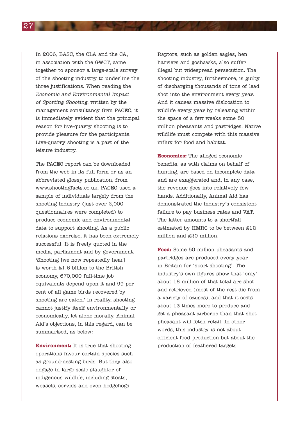In 2006, BASC, the CLA and the CA, in association with the GWCT, came together to sponsor a large-scale survey of the shooting industry to underline the three justifications. When reading the Economic and Environmental Impact of Sporting Shooting, written by the management consultancy firm PACEC, it is immediately evident that the principal reason for live-quarry shooting is to provide pleasure for the participants. Live-quarry shooting is a part of the leisure industry.

The PACEC report can be downloaded from the web in its full form or as an abbreviated glossy publication, from www.shootingfacts.co.uk. PACEC used a sample of individuals largely from the shooting industry (just over 2,000 questionnaires were completed) to produce economic and environmental data to support shooting. As a public relations exercise, it has been extremely successful. It is freely quoted in the media, parliament and by government. 'Shooting [we now repeatedly hear] is worth £1.6 billion to the British economy, 670,000 full-time job equivalents depend upon it and 99 per cent of all game birds recovered by shooting are eaten.' In reality, shooting cannot justify itself environmentally or economically, let alone morally. Animal Aid's objections, in this regard, can be summarised, as below:

**Environment:** It is true that shooting operations favour certain species such as ground-nesting birds. But they also engage in large-scale slaughter of indigenous wildlife, including stoats, weasels, corvids and even hedgehogs.

Raptors, such as golden eagles, hen harriers and goshawks, also suffer illegal but widespread persecution. The shooting industry, furthermore, is guilty of discharging thousands of tons of lead shot into the environment every year. And it causes massive dislocation to wildlife every year by releasing within the space of a few weeks some 50 million pheasants and partridges. Native wildlife must compete with this massive influx for food and habitat.

**Economics:** The alleged economic benefits, as with claims on behalf of hunting, are based on incomplete data and are exaggerated and, in any case, the revenue goes into relatively few hands. Additionally, Animal Aid has demonstrated the industry's consistent failure to pay business rates and VAT. The latter amounts to a shortfall estimated by HMRC to be between £12 million and £20 million.

**Food:** Some 50 million pheasants and partridges are produced every year in Britain for 'sport shooting'. The industry's own figures show that 'only' about 18 million of that total are shot and retrieved (most of the rest die from a variety of causes), and that it costs about 13 times more to produce and get a pheasant airborne than that shot pheasant will fetch retail. In other words, this industry is not about efficient food production but about the production of feathered targets.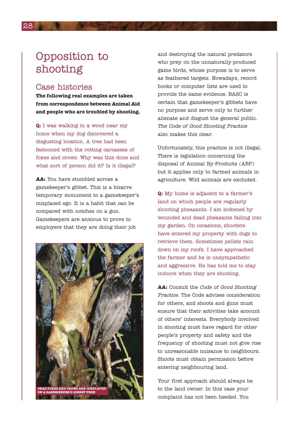## Opposition to shooting

### Case histories

**The following real examples are taken from correspondence between Animal Aid and people who are troubled by shooting.**

**Q:** I was walking in a wood near my home when my dog discovered a disgusting location. A tree had been festooned with the rotting carcasses of foxes and crows. Why was this done and what sort of person did it? Is it illegal?

**AA:** You have stumbled across a gamekeeper's gibbet. This is a bizarre temporary monument to a gamekeeper's misplaced ego. It is a habit that can be compared with notches on a gun. Gamekeepers are anxious to prove to employers that they are doing their job



and destroying the natural predators who prey on the unnaturally-produced game birds, whose purpose is to serve as feathered targets. Nowadays, record books or computer lists are used to provide the same evidence. BASC is certain that gamekeeper's gibbets have no purpose and serve only to further alienate and disgust the general public. The Code of Good Shooting Practice also makes this clear.

Unfortunately, this practice is not illegal. There is legislation concerning the disposal of Animal By-Products (ABP) but it applies only to farmed animals in agriculture. Wild animals are excluded.

**Q:** My home is adjacent to a farmer's land on which people are regularly shooting pheasants. I am sickened by wounded and dead pheasants falling into my garden. On occasions, shooters have entered my property with dogs to retrieve them. Sometimes pellets rain down on my roofs. I have approached the farmer and he is unsympathetic and aggressive. He has told me to stay indoors when they are shooting.

**AA:** Consult the Code of Good Shooting Practice. The Code advises consideration for others, and shoots and guns must ensure that their activities take account of others' interests. Everybody involved in shooting must have regard for other people's property and safety and the frequency of shooting must not give rise to unreasonable nuisance to neighbours. Shoots must obtain permission before entering neighbouring land.

Your first approach should always be to the land owner. In this case your complaint has not been heeded. You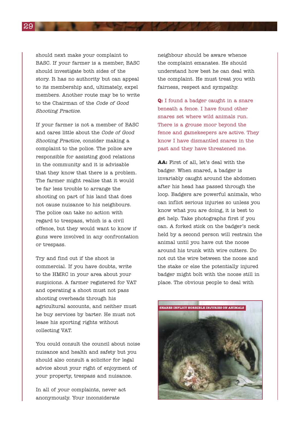should next make your complaint to BASC. If your farmer is a member, BASC should investigate both sides of the story. It has no authority but can appeal to its membership and, ultimately, expel members. Another route may be to write to the Chairman of the Code of Good Shooting Practice.

If your farmer is not a member of BASC and cares little about the Code of Good Shooting Practice, consider making a complaint to the police. The police are responsible for assisting good relations in the community and it is advisable that they know that there is a problem. The farmer might realise that it would be far less trouble to arrange the shooting on part of his land that does not cause nuisance to his neighbours. The police can take no action with regard to trespass, which is a civil offence, but they would want to know if guns were involved in any confrontation or trespass.

Try and find out if the shoot is commercial. If you have doubts, write to the HMRC in your area about your suspicions. A farmer registered for VAT and operating a shoot must not pass shooting overheads through his agricultural accounts, and neither must he buy services by barter. He must not lease his sporting rights without collecting VAT.

You could consult the council about noise nuisance and health and safety but you should also consult a solicitor for legal advice about your right of enjoyment of your property, trespass and nuisance.

In all of your complaints, never act anonymously. Your inconsiderate

neighbour should be aware whence the complaint emanates. He should understand how best he can deal with the complaint. He must treat you with fairness, respect and sympathy.

**Q:** I found a badger caught in a snare beneath a fence. I have found other snares set where wild animals run. There is a grouse moor beyond the fence and gamekeepers are active. They know I have dismantled snares in the past and they have threatened me.

**AA:** First of all, let's deal with the badger. When snared, a badger is invariably caught around the abdomen after his head has passed through the loop. Badgers are powerful animals, who can inflict serious injuries so unless you know what you are doing, it is best to get help. Take photographs first if you can. A forked stick on the badger's neck held by a second person will restrain the animal until you have cut the noose around his trunk with wire cutters. Do not cut the wire between the noose and the stake or else the potentially injured badger might bolt with the noose still in place. The obvious people to deal with

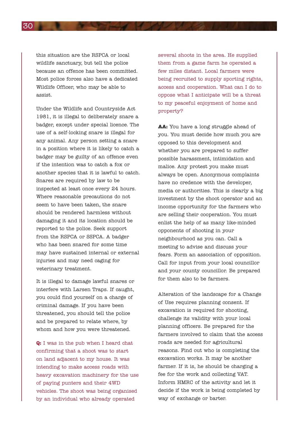this situation are the RSPCA or local wildlife sanctuary, but tell the police because an offence has been committed. Most police forces also have a dedicated Wildlife Officer, who may be able to assist.

Under the Wildlife and Countryside Act 1981, it is illegal to deliberately snare a badger, except under special licence. The use of a self-locking snare is illegal for any animal. Any person setting a snare in a position where it is likely to catch a badger may be guilty of an offence even if the intention was to catch a fox or another species that it is lawful to catch. Snares are required by law to be inspected at least once every 24 hours. Where reasonable precautions do not seem to have been taken, the snare should be rendered harmless without damaging it and its location should be reported to the police. Seek support from the RSPCA or SSPCA. A badger who has been snared for some time may have sustained internal or external injuries and may need caging for veterinary treatment.

It is illegal to damage lawful snares or interfere with Larsen Traps. If caught, you could find yourself on a charge of criminal damage. If you have been threatened, you should tell the police and be prepared to relate where, by whom and how you were threatened.

**Q:** I was in the pub when I heard chat confirming that a shoot was to start on land adjacent to my house. It was intending to make access roads with heavy excavation machinery for the use of paying punters and their 4WD vehicles. The shoot was being organised by an individual who already operated

several shoots in the area. He supplied them from a game farm he operated a few miles distant. Local farmers were being recruited to supply sporting rights, access and cooperation. What can I do to oppose what I anticipate will be a threat to my peaceful enjoyment of home and property?

**AA:** You have a long struggle ahead of you. You must decide how much you are opposed to this development and whether you are prepared to suffer possible harassment, intimidation and malice. Any protest you make must always be open. Anonymous complaints have no credence with the developer, media or authorities. This is clearly a big investment by the shoot operator and an income opportunity for the farmers who are selling their cooperation. You must enlist the help of as many like-minded opponents of shooting in your neighbourhood as you can. Call a meeting to advise and discuss your fears. Form an association of opposition. Call for input from your local councillor and your county councillor. Be prepared for them also to be farmers.

Alteration of the landscape for a Change of Use requires planning consent. If excavation is required for shooting, challenge its validity with your local planning officers. Be prepared for the farmers involved to claim that the access roads are needed for agricultural reasons. Find out who is completing the excavation works. It may be another farmer. If it is, he should be charging a fee for the work and collecting VAT. Inform HMRC of the activity and let it decide if the work is being completed by way of exchange or barter.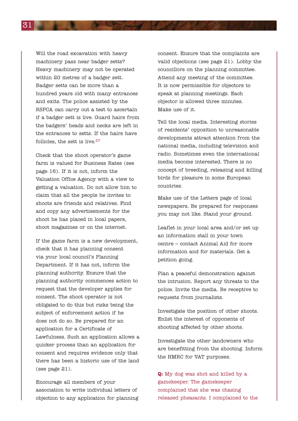Will the road excavation with heavy machinery pass near badger setts? Heavy machinery may not be operated within 20 metres of a badger sett. Badger setts can be more than a hundred years old with many entrances and exits. The police assisted by the RSPCA can carry out a test to ascertain if a badger sett is live. Guard hairs from the badgers' heads and necks are left in the entrances to setts. If the hairs have follicles, the sett is live.<sup>27</sup>

Check that the shoot operator's game farm is valued for Business Rates (see page 16). If it is not, inform the Valuation Office Agency with a view to getting a valuation. Do not allow him to claim that all the people he invites to shoots are friends and relatives. Find and copy any advertisements for the shoot he has placed in local papers, shoot magazines or on the internet.

If the game farm is a new development, check that it has planning consent via your local council's Planning Department. If it has not, inform the planning authority. Ensure that the planning authority commences action to request that the developer applies for consent. The shoot operator is not obligated to do this but risks being the subject of enforcement action if he does not do so. Be prepared for an application for a Certificate of Lawfulness. Such an application allows a quicker process than an application for consent and requires evidence only that there has been a historic use of the land (see page 21).

Encourage all members of your association to write individual letters of objection to any application for planning consent. Ensure that the complaints are valid objections (see page 21). Lobby the councillors on the planning committee. Attend any meeting of the committee. It is now permissible for objectors to speak at planning meetings. Each objector is allowed three minutes. Make use of it.

Tell the local media. Interesting stories of residents' opposition to unreasonable developments attract attention from the national media, including television and radio. Sometimes even the international media become interested. There is no concept of breeding, releasing and killing birds for pleasure in some European countries.

Make use of the Letters page of local newspapers. Be prepared for responses you may not like. Stand your ground.

Leaflet in your local area and/or set up an information stall in your town centre – contact Animal Aid for more information and for materials. Get a petition going.

Plan a peaceful demonstration against the intrusion. Report any threats to the police. Invite the media. Be receptive to requests from journalists.

Investigate the position of other shoots. Enlist the interest of opponents of shooting affected by other shoots.

Investigate the other landowners who are benefitting from the shooting. Inform the HMRC for VAT purposes.

**Q:** My dog was shot and killed by a gamekeeper. The gamekeeper complained that she was chasing released pheasants. I complained to the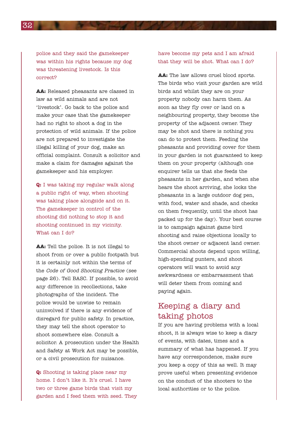police and they said the gamekeeper was within his rights because my dog was threatening livestock. Is this correct?

**AA:** Released pheasants are classed in law as wild animals and are not 'livestock'. Go back to the police and make your case that the gamekeeper had no right to shoot a dog in the protection of wild animals. If the police are not prepared to investigate the illegal killing of your dog, make an official complaint. Consult a solicitor and make a claim for damages against the gamekeeper and his employer.

**Q:** I was taking my regular walk along a public right of way, when shooting was taking place alongside and on it. The gamekeeper in control of the shooting did nothing to stop it and shooting continued in my vicinity. What can I do?

**AA:** Tell the police. It is not illegal to shoot from or over a public footpath but it is certainly not within the terms of the Code of Good Shooting Practice (see page 26). Tell BASC. If possible, to avoid any difference in recollections, take photographs of the incident. The police would be unwise to remain uninvolved if there is any evidence of disregard for public safety. In practice, they may tell the shoot operator to shoot somewhere else. Consult a solicitor. A prosecution under the Health and Safety at Work Act may be possible, or a civil prosecution for nuisance.

**Q:** Shooting is taking place near my home. I don't like it. It's cruel. I have two or three game birds that visit my garden and I feed them with seed. They have become my pets and I am afraid that they will be shot. What can I do?

**AA:** The law allows cruel blood sports. The birds who visit your garden are wild birds and whilst they are on your property nobody can harm them. As soon as they fly over or land on a neighbouring property, they become the property of the adjacent owner. They may be shot and there is nothing you can do to protect them. Feeding the pheasants and providing cover for them in your garden is not guaranteed to keep them on your property (although one enquirer tells us that she feeds the pheasants in her garden, and when she hears the shoot arriving, she locks the pheasants in a large outdoor dog pen, with food, water and shade, and checks on them frequently, until the shoot has packed up for the day). Your best course is to campaign against game bird shooting and raise objections locally to the shoot owner or adjacent land owner. Commercial shoots depend upon willing, high-spending punters, and shoot operators will want to avoid any awkwardness or embarrassment that will deter them from coming and paying again.

## Keeping a diary and taking photos

If you are having problems with a local shoot, it is always wise to keep a diary of events, with dates, times and a summary of what has happened. If you have any correspondence, make sure you keep a copy of this as well. It may prove useful when presenting evidence on the conduct of the shooters to the local authorities or to the police.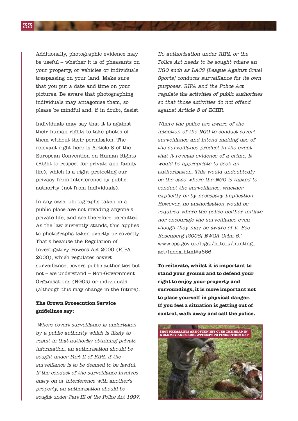Additionally, photographic evidence may be useful – whether it is of pheasants on your property, or vehicles or individuals trespassing on your land. Make sure that you put a date and time on your pictures. Be aware that photographing individuals may antagonise them, so please be mindful and, if in doubt, desist.

Individuals may say that it is against their human rights to take photos of them without their permission. The relevant right here is Article 8 of the European Convention on Human Rights (Right to respect for private and family life), which is a right protecting our privacy from interference by public authority (not from individuals).

In any case, photographs taken in a public place are not invading anyone's private life, and are therefore permitted. As the law currently stands, this applies to photographs taken overtly or covertly. That's because the Regulation of Investigatory Powers Act 2000 (RIPA 2000), which regulates covert surveillance, covers public authorities but not – we understand – Non-Government Organisations (NGOs) or individuals (although this may change in the future).

#### **The Crown Prosecution Service guidelines say:**

'Where covert surveillance is undertaken by <sup>a</sup> public authority which is likely to result in that authority obtaining private information, an authorisation should be sought under Part II of RIPA if the surveillance is to be deemed to be lawful. If the conduct of the surveillance involves entry on or interference with another's property, an authorisation should be sought under Part III of the Police Act 1997.

No authorisation under RIPA or the Police Act needs to be sought where an NGO such as LACS [League Against Cruel Sports] conducts surveillance for its own purposes. RIPA and the Police Act regulate the activities of public authorities so that those activities do not offend against Article 8 of ECHR.

Where the police are aware of the intention of the NGO to conduct covert surveillance and intend making use of the surveillance product in the event that it reveals evidence of <sup>a</sup> crime, it would be appropriate to seek an authorisation. This would undoubtedly be the case where the NGO is tasked to conduct the surveillance, whether explicitly or by necessary implication. However, no authorisation would be required where the police neither initiate nor encourage the surveillance even though they may be aware of it. See Rosenberg [2006] EWCA Crim 6.' www.cps.gov.uk/legal/h\_to\_k/hunting\_ act/index.html#a666

**To reiterate, whilst it is important to stand your ground and to defend your right to enjoy your property and surroundings, it is more important not to place yourself in physical danger. If you feel a situation is getting out of control, walk away and call the police.**

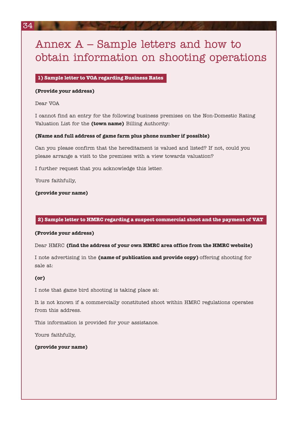## Annex A – Sample letters and how to obtain information on shooting operations

#### **1) Sample letter to VOA regarding Business Rates**

#### **(Provide your address)**

Dear VOA

I cannot find an entry for the following business premises on the Non-Domestic Rating Valuation List for the **(town name)** Billing Authority:

#### **(Name and full address of game farm plus phone number if possible)**

Can you please confirm that the hereditament is valued and listed? If not, could you please arrange a visit to the premises with a view towards valuation?

I further request that you acknowledge this letter.

Yours faithfully,

**(provide your name)**

#### **2) Sample letter to HMRC regarding a suspect commercial shoot and the payment of VAT**

#### **(Provide your address)**

Dear HMRC **(find the address of your own HMRC area office from the HMRC website)**

I note advertising in the **(name of publication and provide copy)** offering shooting for sale at:

#### **(or)**

I note that game bird shooting is taking place at:

It is not known if a commercially constituted shoot within HMRC regulations operates from this address.

This information is provided for your assistance.

Yours faithfully,

#### **(provide your name)**

34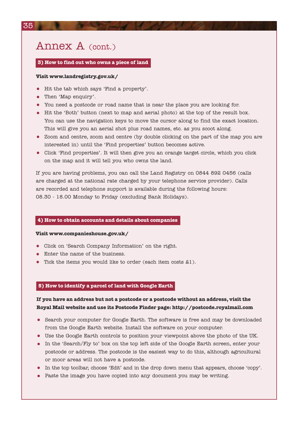## Annex A (cont.)

#### **3) How to find out who owns a piece of land**

#### **Visit www.landregistry.gov.uk/**

- Hit the tab which says 'Find a property'.
- Then 'Map enquiry'.
- You need a postcode or road name that is near the place you are looking for.
- Hit the 'Both' button (next to map and aerial photo) at the top of the result box. You can use the navigation keys to move the cursor along to find the exact location. This will give you an aerial shot plus road names, etc. as you scoot along.
- Zoom and centre, zoom and centre (by double clicking on the part of the map you are interested in) until the 'Find properties' button becomes active.
- Click 'Find properties'. It will then give you an orange target circle, which you click on the map and it will tell you who owns the land.

If you are having problems, you can call the Land Registry on 0844 892 0456 (calls are charged at the national rate charged by your telephone service provider). Calls are recorded and telephone support is available during the following hours: 08.30 - 18.00 Monday to Friday (excluding Bank Holidays).

#### **4) How to obtain accounts and details about companies**

#### **Visit www.companieshouse.gov.uk/**

- Click on 'Search Company Information' on the right.
- Enter the name of the business.
- Tick the items you would like to order (each item costs  $$1$ ).

#### **5) How to identify a parcel of land with Google Earth**

#### **If you have an address but not a postcode or a postcode without an address, visit the Royal Mail website and use its Postcode Finder page: http://postcode.royalmail.com**

- Search your computer for Google Earth. The software is free and may be downloaded from the Google Earth website. Install the software on your computer.
- Use the Google Earth controls to position your viewpoint above the photo of the UK.
- In the 'Search/Fly to' box on the top left side of the Google Earth screen, enter your postcode or address. The postcode is the easiest way to do this, although agricultural or moor areas will not have a postcode.
- In the top toolbar, choose 'Edit' and in the drop down menu that appears, choose 'copy'.
- Paste the image you have copied into any document you may be writing.

35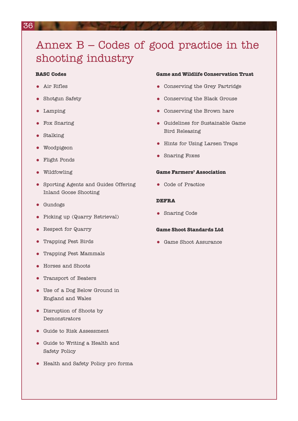## Annex B – Codes of good practice in the shooting industry

#### **BASC Codes**

- Air Rifles
- Shotgun Safety
- Lamping
- Fox Snaring
- Stalking
- Woodpigeon
- Flight Ponds
- Wildfowling
- Sporting Agents and Guides Offering Inland Goose Shooting
- Gundogs
- Picking up (Quarry Retrieval)
- Respect for Quarry
- Trapping Pest Birds
- Trapping Pest Mammals
- Horses and Shoots
- Transport of Beaters
- Use of a Dog Below Ground in England and Wales
- Disruption of Shoots by Demonstrators
- Guide to Risk Assessment
- Guide to Writing a Health and Safety Policy
- Health and Safety Policy pro forma

#### **Game and Wildlife Conservation Trust**

- Conserving the Grey Partridge
- Conserving the Black Grouse
- Conserving the Brown hare
- Guidelines for Sustainable Game Bird Releasing
- Hints for Using Larsen Traps
- Snaring Foxes

#### **Game Farmers' Association**

• Code of Practice

#### **DEFRA**

• Snaring Code

#### **Game Shoot Standards Ltd**

• Game Shoot Assurance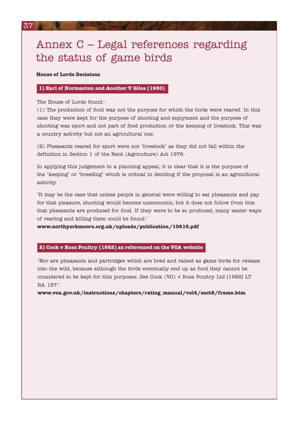## Annex C – Legal references regarding the status of game birds

#### **House of Lords Decisions**

#### **1) Earl of Normanton and Another V Giles (1980)**

The House of Lords found:-

(1) The production of food was not the purpose for which the birds were reared. In this case they were kept for the purpose of shooting and enjoyment and the purpose of shooting was sport and not part of food production or the keeping of livestock. This was a country activity but not an agricultural one.

(2) Pheasants reared for sport were not 'livestock' as they did not fall within the definition in Section 1 of the Rent (Agriculture) Act 1976.

In applying this judgement to a planning appeal, it is clear that it is the purpose of the 'keeping' or 'breeding' which is critical in deciding if the proposal is an agricultural activity.

'It may be the case that unless people in general were willing to eat pheasants and pay for that pleasure, shooting would become uneconomic, but it does not follow from this that pheasants are produced for food. If they were to be so produced, many easier ways of rearing and killing them could be found.'

**www.northyorkmoors.org.uk/uploads/publication/10616.pdf**

#### **2) Cook v Ross Poultry (1982) as referenced on the VOA website**

'Nor are pheasants and partridges which are bred and raised as game birds for release into the wild, because although the birds eventually end up as food they cannot be considered to be kept for this purposes. See Cook (VO) v Ross Poultry Ltd [1982] LT RA 187.'

**www.voa.gov.uk/instructions/chapters/rating\_manual/vol4/sect8/frame.htm**